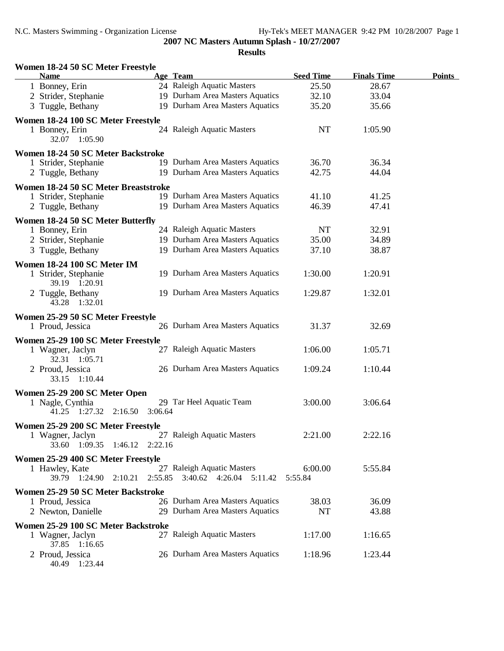| Women 18-24 50 SC Meter Freestyle      |         |                                                       |                  |                    |               |
|----------------------------------------|---------|-------------------------------------------------------|------------------|--------------------|---------------|
| <b>Name</b>                            |         | Age Team                                              | <b>Seed Time</b> | <b>Finals Time</b> | <b>Points</b> |
| 1 Bonney, Erin                         |         | 24 Raleigh Aquatic Masters                            | 25.50            | 28.67              |               |
| 2 Strider, Stephanie                   |         | 19 Durham Area Masters Aquatics                       | 32.10            | 33.04              |               |
| 3 Tuggle, Bethany                      |         | 19 Durham Area Masters Aquatics                       | 35.20            | 35.66              |               |
| Women 18-24 100 SC Meter Freestyle     |         |                                                       |                  |                    |               |
| 1 Bonney, Erin<br>32.07 1:05.90        |         | 24 Raleigh Aquatic Masters                            | <b>NT</b>        | 1:05.90            |               |
| Women 18-24 50 SC Meter Backstroke     |         |                                                       |                  |                    |               |
| 1 Strider, Stephanie                   |         | 19 Durham Area Masters Aquatics                       | 36.70            | 36.34              |               |
| 2 Tuggle, Bethany                      |         | 19 Durham Area Masters Aquatics                       | 42.75            | 44.04              |               |
| Women 18-24 50 SC Meter Breaststroke   |         |                                                       |                  |                    |               |
| 1 Strider, Stephanie                   |         | 19 Durham Area Masters Aquatics                       | 41.10            | 41.25              |               |
| 2 Tuggle, Bethany                      |         | 19 Durham Area Masters Aquatics                       | 46.39            | 47.41              |               |
|                                        |         |                                                       |                  |                    |               |
| Women 18-24 50 SC Meter Butterfly      |         | 24 Raleigh Aquatic Masters                            | <b>NT</b>        | 32.91              |               |
| 1 Bonney, Erin<br>2 Strider, Stephanie |         | 19 Durham Area Masters Aquatics                       | 35.00            | 34.89              |               |
| 3 Tuggle, Bethany                      |         | 19 Durham Area Masters Aquatics                       | 37.10            | 38.87              |               |
|                                        |         |                                                       |                  |                    |               |
| Women 18-24 100 SC Meter IM            |         |                                                       |                  |                    |               |
| 1 Strider, Stephanie                   |         | 19 Durham Area Masters Aquatics                       | 1:30.00          | 1:20.91            |               |
| 39.19 1:20.91                          |         |                                                       |                  |                    |               |
| 2 Tuggle, Bethany                      |         | 19 Durham Area Masters Aquatics                       | 1:29.87          | 1:32.01            |               |
| 43.28 1:32.01                          |         |                                                       |                  |                    |               |
| Women 25-29 50 SC Meter Freestyle      |         |                                                       |                  |                    |               |
| 1 Proud, Jessica                       |         | 26 Durham Area Masters Aquatics                       | 31.37            | 32.69              |               |
| Women 25-29 100 SC Meter Freestyle     |         |                                                       |                  |                    |               |
| 1 Wagner, Jaclyn                       |         | 27 Raleigh Aquatic Masters                            | 1:06.00          | 1:05.71            |               |
| 32.31 1:05.71                          |         |                                                       |                  |                    |               |
| 2 Proud, Jessica                       |         | 26 Durham Area Masters Aquatics                       | 1:09.24          | 1:10.44            |               |
| 33.15 1:10.44                          |         |                                                       |                  |                    |               |
| Women 25-29 200 SC Meter Open          |         |                                                       |                  |                    |               |
| 1 Nagle, Cynthia                       |         | 29 Tar Heel Aquatic Team                              | 3:00.00          | 3:06.64            |               |
| 41.25 1:27.32 2:16.50                  | 3:06.64 |                                                       |                  |                    |               |
| Women 25-29 200 SC Meter Freestyle     |         |                                                       |                  |                    |               |
| 1 Wagner, Jaclyn                       |         | 27 Raleigh Aquatic Masters                            | 2:21.00          | 2:22.16            |               |
| 33.60 1:09.35 1:46.12 2:22.16          |         |                                                       |                  |                    |               |
| Women 25-29 400 SC Meter Freestyle     |         |                                                       |                  |                    |               |
| 1 Hawley, Kate                         |         | 27 Raleigh Aquatic Masters                            | 6:00.00          | 5:55.84            |               |
|                                        |         | 39.79 1:24.90 2:10.21 2:55.85 3:40.62 4:26.04 5:11.42 | 5:55.84          |                    |               |
| Women 25-29 50 SC Meter Backstroke     |         |                                                       |                  |                    |               |
| 1 Proud, Jessica                       |         | 26 Durham Area Masters Aquatics                       | 38.03            | 36.09              |               |
| 2 Newton, Danielle                     |         | 29 Durham Area Masters Aquatics                       | <b>NT</b>        | 43.88              |               |
|                                        |         |                                                       |                  |                    |               |
| Women 25-29 100 SC Meter Backstroke    |         |                                                       |                  |                    |               |
| 1 Wagner, Jaclyn<br>37.85 1:16.65      |         | 27 Raleigh Aquatic Masters                            | 1:17.00          | 1:16.65            |               |
| 2 Proud, Jessica                       |         | 26 Durham Area Masters Aquatics                       | 1:18.96          | 1:23.44            |               |
| 40.49 1:23.44                          |         |                                                       |                  |                    |               |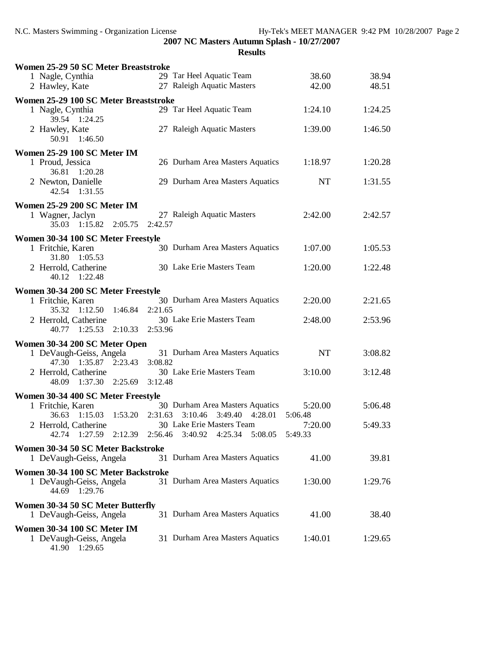| Women 25-29 50 SC Meter Breaststroke                          |                                                                       |                    |         |
|---------------------------------------------------------------|-----------------------------------------------------------------------|--------------------|---------|
| 1 Nagle, Cynthia                                              | 29 Tar Heel Aquatic Team                                              | 38.60              | 38.94   |
| 2 Hawley, Kate                                                | 27 Raleigh Aquatic Masters                                            | 42.00              | 48.51   |
| Women 25-29 100 SC Meter Breaststroke                         |                                                                       |                    |         |
| 1 Nagle, Cynthia<br>39.54 1:24.25                             | 29 Tar Heel Aquatic Team                                              | 1:24.10            | 1:24.25 |
| 2 Hawley, Kate<br>50.91<br>1:46.50                            | 27 Raleigh Aquatic Masters                                            | 1:39.00            | 1:46.50 |
| Women 25-29 100 SC Meter IM                                   |                                                                       |                    |         |
| 1 Proud, Jessica<br>36.81<br>1:20.28                          | 26 Durham Area Masters Aquatics                                       | 1:18.97            | 1:20.28 |
| 2 Newton, Danielle<br>42.54 1:31.55                           | 29 Durham Area Masters Aquatics                                       | <b>NT</b>          | 1:31.55 |
| Women 25-29 200 SC Meter IM                                   |                                                                       |                    |         |
| 1 Wagner, Jaclyn<br>35.03 1:15.82 2:05.75                     | 27 Raleigh Aquatic Masters<br>2:42.57                                 | 2:42.00            | 2:42.57 |
| Women 30-34 100 SC Meter Freestyle                            |                                                                       |                    |         |
| 1 Fritchie, Karen<br>1:05.53<br>31.80                         | 30 Durham Area Masters Aquatics                                       | 1:07.00            | 1:05.53 |
| 2 Herrold, Catherine<br>1:22.48<br>40.12                      | 30 Lake Erie Masters Team                                             | 1:20.00            | 1:22.48 |
| Women 30-34 200 SC Meter Freestyle                            |                                                                       |                    |         |
| 1 Fritchie, Karen                                             | 30 Durham Area Masters Aquatics                                       | 2:20.00            | 2:21.65 |
| 35.32 1:12.50<br>1:46.84                                      | 2:21.65                                                               |                    |         |
| 2 Herrold, Catherine<br>40.77 1:25.53<br>2:10.33              | 30 Lake Erie Masters Team<br>2:53.96                                  | 2:48.00            | 2:53.96 |
| Women 30-34 200 SC Meter Open                                 |                                                                       |                    |         |
| 1 DeVaugh-Geiss, Angela<br>47.30 1:35.87 2:23.43              | 31 Durham Area Masters Aquatics<br>3:08.82                            | <b>NT</b>          | 3:08.82 |
| 2 Herrold, Catherine<br>1:37.30 2:25.69 3:12.48<br>48.09      | 30 Lake Erie Masters Team                                             | 3:10.00            | 3:12.48 |
| Women 30-34 400 SC Meter Freestyle                            |                                                                       |                    |         |
| 1 Fritchie, Karen                                             | 30 Durham Area Masters Aquatics                                       | 5:20.00            | 5:06.48 |
| 1:15.03<br>1:53.20<br>36.63                                   | 2:31.63<br>3:10.46<br>3:49.40<br>4:28.01                              | 5:06.48            |         |
| 2 Herrold, Catherine<br>1:27.59<br>2:12.39<br>42.74           | 30 Lake Erie Masters Team<br>2:56.46<br>3:40.92<br>4:25.34<br>5:08.05 | 7:20.00<br>5:49.33 | 5:49.33 |
| Women 30-34 50 SC Meter Backstroke<br>1 DeVaugh-Geiss, Angela | 31 Durham Area Masters Aquatics                                       | 41.00              | 39.81   |
| Women 30-34 100 SC Meter Backstroke                           |                                                                       |                    |         |
| 1 DeVaugh-Geiss, Angela<br>44.69 1:29.76                      | 31 Durham Area Masters Aquatics                                       | 1:30.00            | 1:29.76 |
| Women 30-34 50 SC Meter Butterfly<br>1 DeVaugh-Geiss, Angela  | 31 Durham Area Masters Aquatics                                       | 41.00              | 38.40   |
| Women 30-34 100 SC Meter IM                                   |                                                                       |                    |         |
| 1 DeVaugh-Geiss, Angela<br>41.90 1:29.65                      | 31 Durham Area Masters Aquatics                                       | 1:40.01            | 1:29.65 |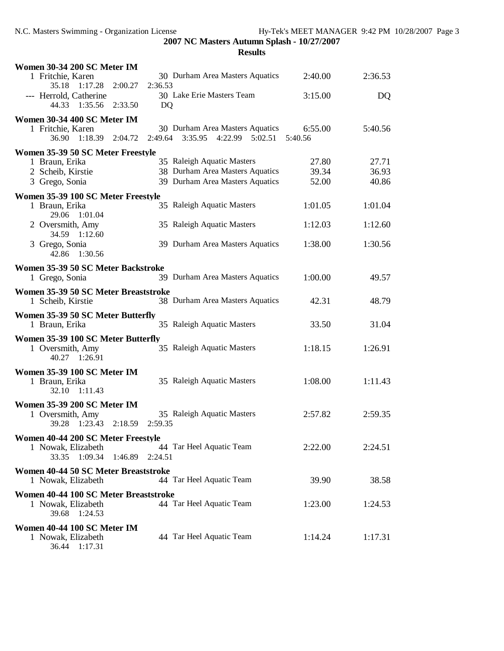| Women 30-34 200 SC Meter IM                              |                                           |         |         |
|----------------------------------------------------------|-------------------------------------------|---------|---------|
| 1 Fritchie, Karen                                        | 30 Durham Area Masters Aquatics           | 2:40.00 | 2:36.53 |
| 35.18 1:17.28<br>2:00.27<br>--- Herrold, Catherine       | 2:36.53<br>30 Lake Erie Masters Team      | 3:15.00 | DQ      |
| 44.33 1:35.56<br>2:33.50                                 | DQ                                        |         |         |
| Women 30-34 400 SC Meter IM                              |                                           |         |         |
| 1 Fritchie, Karen                                        | 30 Durham Area Masters Aquatics           | 6:55.00 | 5:40.56 |
| 1:18.39<br>36.90<br>2:04.72                              | 2:49.64<br>3:35.95<br>$4:22.99$ $5:02.51$ | 5:40.56 |         |
| Women 35-39 50 SC Meter Freestyle                        |                                           |         |         |
| 1 Braun, Erika                                           | 35 Raleigh Aquatic Masters                | 27.80   | 27.71   |
| 2 Scheib, Kirstie                                        | 38 Durham Area Masters Aquatics           | 39.34   | 36.93   |
| 3 Grego, Sonia                                           | 39 Durham Area Masters Aquatics           | 52.00   | 40.86   |
| Women 35-39 100 SC Meter Freestyle                       |                                           |         |         |
| 1 Braun, Erika<br>29.06<br>1:01.04                       | 35 Raleigh Aquatic Masters                | 1:01.05 | 1:01.04 |
| 2 Oversmith, Amy                                         | 35 Raleigh Aquatic Masters                | 1:12.03 | 1:12.60 |
| 34.59 1:12.60                                            |                                           |         |         |
| 3 Grego, Sonia                                           | 39 Durham Area Masters Aquatics           | 1:38.00 | 1:30.56 |
| 42.86 1:30.56                                            |                                           |         |         |
| Women 35-39 50 SC Meter Backstroke                       |                                           |         |         |
| 1 Grego, Sonia                                           | 39 Durham Area Masters Aquatics           | 1:00.00 | 49.57   |
| Women 35-39 50 SC Meter Breaststroke                     |                                           |         |         |
| 1 Scheib, Kirstie                                        | 38 Durham Area Masters Aquatics           | 42.31   | 48.79   |
| Women 35-39 50 SC Meter Butterfly                        |                                           |         |         |
| 1 Braun, Erika                                           | 35 Raleigh Aquatic Masters                | 33.50   | 31.04   |
| Women 35-39 100 SC Meter Butterfly                       |                                           |         |         |
| 1 Oversmith, Amy                                         | 35 Raleigh Aquatic Masters                | 1:18.15 | 1:26.91 |
| 40.27 1:26.91                                            |                                           |         |         |
| Women 35-39 100 SC Meter IM                              |                                           |         |         |
| 1 Braun, Erika<br>32.10<br>1:11.43                       | 35 Raleigh Aquatic Masters                | 1:08.00 | 1:11.43 |
|                                                          |                                           |         |         |
| Women 35-39 200 SC Meter IM<br>1 Oversmith, Amy          | 35 Raleigh Aquatic Masters                | 2:57.82 | 2:59.35 |
| 2:18.59<br>39.28<br>1:23.43                              | 2:59.35                                   |         |         |
|                                                          |                                           |         |         |
| Women 40-44 200 SC Meter Freestyle<br>1 Nowak, Elizabeth | 44 Tar Heel Aquatic Team                  | 2:22.00 | 2:24.51 |
| 1:46.89 2:24.51<br>33.35<br>1:09.34                      |                                           |         |         |
| Women 40-44 50 SC Meter Breaststroke                     |                                           |         |         |
| 1 Nowak, Elizabeth                                       | 44 Tar Heel Aquatic Team                  | 39.90   | 38.58   |
| Women 40-44 100 SC Meter Breaststroke                    |                                           |         |         |
| 1 Nowak, Elizabeth                                       | 44 Tar Heel Aquatic Team                  | 1:23.00 | 1:24.53 |
| 39.68<br>1:24.53                                         |                                           |         |         |
| Women 40-44 100 SC Meter IM                              |                                           |         |         |
| 1 Nowak, Elizabeth                                       | 44 Tar Heel Aquatic Team                  | 1:14.24 | 1:17.31 |
| 36.44<br>1:17.31                                         |                                           |         |         |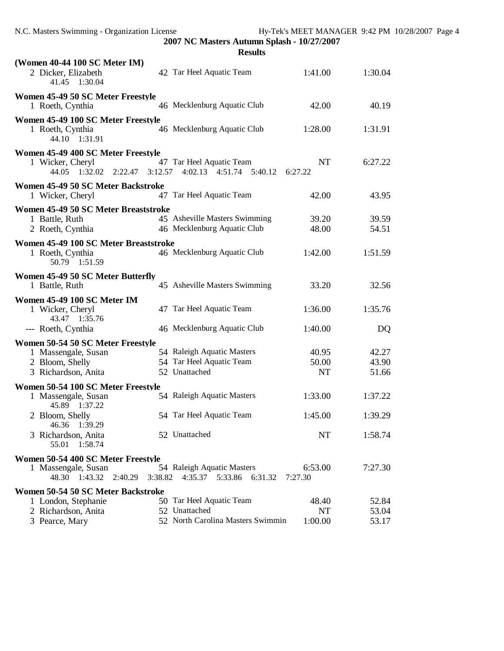| ľ<br>Ш<br>ı<br>S. |
|-------------------|
|-------------------|

| (Women 40-44 100 SC Meter IM)<br>2 Dicker, Elizabeth<br>41.45 1:30.04                          |         | 42 Tar Heel Aquatic Team                                  | 1:41.00              | 1:30.04 |
|------------------------------------------------------------------------------------------------|---------|-----------------------------------------------------------|----------------------|---------|
| Women 45-49 50 SC Meter Freestyle<br>1 Roeth, Cynthia                                          |         | 46 Mecklenburg Aquatic Club                               | 42.00                | 40.19   |
| Women 45-49 100 SC Meter Freestyle<br>1 Roeth, Cynthia<br>44.10 1:31.91                        |         | 46 Mecklenburg Aquatic Club                               | 1:28.00              | 1:31.91 |
| Women 45-49 400 SC Meter Freestyle<br>1 Wicker, Cheryl<br>$2:22.47$ $3:12.57$<br>44.05 1:32.02 |         | 47 Tar Heel Aquatic Team<br>$4:02.13$ $4:51.74$ $5:40.12$ | <b>NT</b><br>6:27.22 | 6:27.22 |
| Women 45-49 50 SC Meter Backstroke<br>1 Wicker, Cheryl                                         |         | 47 Tar Heel Aquatic Team                                  | 42.00                | 43.95   |
| Women 45-49 50 SC Meter Breaststroke                                                           |         |                                                           |                      |         |
| 1 Battle, Ruth                                                                                 |         | 45 Asheville Masters Swimming                             | 39.20                | 39.59   |
| 2 Roeth, Cynthia                                                                               |         | 46 Mecklenburg Aquatic Club                               | 48.00                | 54.51   |
| Women 45-49 100 SC Meter Breaststroke<br>1 Roeth, Cynthia<br>50.79 1:51.59                     |         | 46 Mecklenburg Aquatic Club                               | 1:42.00              | 1:51.59 |
| Women 45-49 50 SC Meter Butterfly<br>1 Battle, Ruth                                            |         | 45 Asheville Masters Swimming                             | 33.20                | 32.56   |
| Women 45-49 100 SC Meter IM                                                                    |         |                                                           |                      |         |
| 1 Wicker, Cheryl<br>43.47 1:35.76                                                              |         | 47 Tar Heel Aquatic Team                                  | 1:36.00              | 1:35.76 |
| --- Roeth, Cynthia                                                                             |         | 46 Mecklenburg Aquatic Club                               | 1:40.00              | DQ      |
| Women 50-54 50 SC Meter Freestyle                                                              |         |                                                           |                      |         |
| 1 Massengale, Susan                                                                            |         | 54 Raleigh Aquatic Masters                                | 40.95                | 42.27   |
| 2 Bloom, Shelly                                                                                |         | 54 Tar Heel Aquatic Team                                  | 50.00                | 43.90   |
| 3 Richardson, Anita                                                                            |         | 52 Unattached                                             | <b>NT</b>            | 51.66   |
| Women 50-54 100 SC Meter Freestyle                                                             |         |                                                           |                      |         |
| 1 Massengale, Susan<br>45.89 1:37.22                                                           |         | 54 Raleigh Aquatic Masters                                | 1:33.00              | 1:37.22 |
| 2 Bloom, Shelly<br>46.36 1:39.29                                                               |         | 54 Tar Heel Aquatic Team                                  | 1:45.00              | 1:39.29 |
| 3 Richardson, Anita<br>55.01 1:58.74                                                           |         | 52 Unattached                                             | NT                   | 1:58.74 |
| Women 50-54 400 SC Meter Freestyle                                                             |         |                                                           |                      |         |
| 1 Massengale, Susan                                                                            |         | 54 Raleigh Aquatic Masters                                | 6:53.00              | 7:27.30 |
| 48.30 1:43.32<br>2:40.29                                                                       | 3:38.82 | 4:35.37 5:33.86<br>6:31.32                                | 7:27.30              |         |
| Women 50-54 50 SC Meter Backstroke                                                             |         |                                                           |                      |         |
| 1 London, Stephanie                                                                            |         | 50 Tar Heel Aquatic Team                                  | 48.40                | 52.84   |
| 2 Richardson, Anita                                                                            |         | 52 Unattached                                             | <b>NT</b>            | 53.04   |
| 3 Pearce, Mary                                                                                 |         | 52 North Carolina Masters Swimmin                         | 1:00.00              | 53.17   |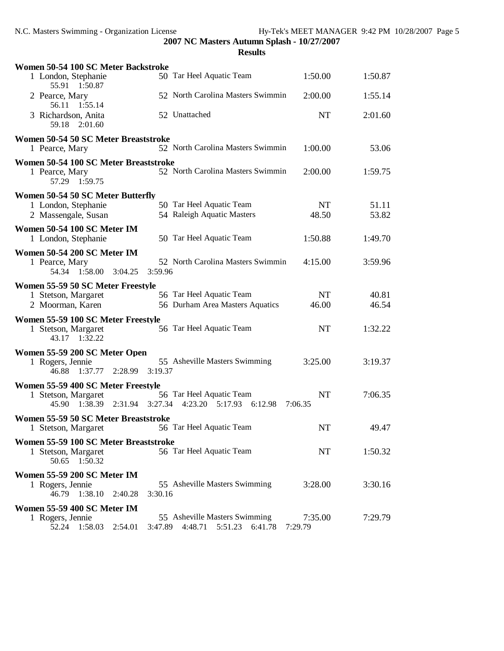| Women 50-54 100 SC Meter Backstroke                                           |                                                                           |                      |         |
|-------------------------------------------------------------------------------|---------------------------------------------------------------------------|----------------------|---------|
| 1 London, Stephanie<br>55.91 1:50.87                                          | 50 Tar Heel Aquatic Team                                                  | 1:50.00              | 1:50.87 |
| 2 Pearce, Mary<br>56.11<br>1:55.14                                            | 52 North Carolina Masters Swimmin                                         | 2:00.00              | 1:55.14 |
| 3 Richardson, Anita<br>59.18<br>2:01.60                                       | 52 Unattached                                                             | <b>NT</b>            | 2:01.60 |
| Women 50-54 50 SC Meter Breaststroke<br>1 Pearce, Mary                        | 52 North Carolina Masters Swimmin                                         | 1:00.00              | 53.06   |
| Women 50-54 100 SC Meter Breaststroke<br>1 Pearce, Mary<br>57.29 1:59.75      | 52 North Carolina Masters Swimmin                                         | 2:00.00              | 1:59.75 |
| Women 50-54 50 SC Meter Butterfly                                             |                                                                           |                      |         |
| 1 London, Stephanie                                                           | 50 Tar Heel Aquatic Team                                                  | NT                   | 51.11   |
| 2 Massengale, Susan                                                           | 54 Raleigh Aquatic Masters                                                | 48.50                | 53.82   |
| Women 50-54 100 SC Meter IM<br>1 London, Stephanie                            | 50 Tar Heel Aquatic Team                                                  | 1:50.88              | 1:49.70 |
| Women 50-54 200 SC Meter IM                                                   |                                                                           |                      |         |
| 1 Pearce, Mary<br>54.34 1:58.00<br>3:04.25                                    | 52 North Carolina Masters Swimmin<br>3:59.96                              | 4:15.00              | 3:59.96 |
| Women 55-59 50 SC Meter Freestyle                                             |                                                                           |                      |         |
| 1 Stetson, Margaret                                                           | 56 Tar Heel Aquatic Team                                                  | NT                   | 40.81   |
| 2 Moorman, Karen                                                              | 56 Durham Area Masters Aquatics                                           | 46.00                | 46.54   |
| Women 55-59 100 SC Meter Freestyle<br>1 Stetson, Margaret<br>1:32.22<br>43.17 | 56 Tar Heel Aquatic Team                                                  | <b>NT</b>            | 1:32.22 |
| Women 55-59 200 SC Meter Open                                                 |                                                                           |                      |         |
| 1 Rogers, Jennie<br>46.88<br>1:37.77 2:28.99                                  | 55 Asheville Masters Swimming<br>3:19.37                                  | 3:25.00              | 3:19.37 |
| Women 55-59 400 SC Meter Freestyle                                            |                                                                           |                      |         |
| 1 Stetson, Margaret<br>45.90 1:38.39 2:31.94 3:27.34                          | 56 Tar Heel Aquatic Team<br>4:23.20 5:17.93 6:12.98                       | <b>NT</b><br>7:06.35 | 7:06.35 |
| Women 55-59 50 SC Meter Breaststroke                                          |                                                                           |                      |         |
| 1 Stetson, Margaret                                                           | 56 Tar Heel Aquatic Team                                                  | <b>NT</b>            | 49.47   |
| Women 55-59 100 SC Meter Breaststroke                                         |                                                                           |                      |         |
| 1 Stetson, Margaret<br>50.65<br>1:50.32                                       | 56 Tar Heel Aquatic Team                                                  | NT                   | 1:50.32 |
| Women 55-59 200 SC Meter IM                                                   |                                                                           |                      |         |
| 1 Rogers, Jennie<br>46.79<br>1:38.10<br>2:40.28                               | 55 Asheville Masters Swimming<br>3:30.16                                  | 3:28.00              | 3:30.16 |
| Women 55-59 400 SC Meter IM                                                   |                                                                           |                      |         |
| 1 Rogers, Jennie<br>52.24 1:58.03<br>2:54.01                                  | 55 Asheville Masters Swimming<br>3:47.89<br>4:48.71<br>5:51.23<br>6:41.78 | 7:35.00<br>7:29.79   | 7:29.79 |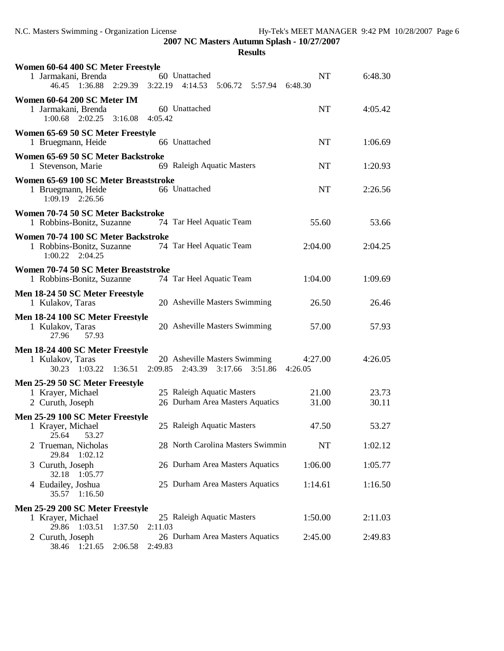| Women 60-64 400 SC Meter Freestyle                                                                      |               |         |
|---------------------------------------------------------------------------------------------------------|---------------|---------|
| 1 Jarmakani, Brenda<br>60 Unattached<br>$1:36.88$ $2:29.39$ $3:22.19$ $4:14.53$<br>46.45                | NT<br>6:48.30 | 6:48.30 |
| Women 60-64 200 SC Meter IM                                                                             |               |         |
| 60 Unattached<br>1 Jarmakani, Brenda                                                                    | <b>NT</b>     | 4:05.42 |
| $1:00.68$ $2:02.25$ $3:16.08$<br>4:05.42                                                                |               |         |
| Women 65-69 50 SC Meter Freestyle<br>66 Unattached<br>1 Bruegmann, Heide                                | <b>NT</b>     | 1:06.69 |
| Women 65-69 50 SC Meter Backstroke<br>69 Raleigh Aquatic Masters<br>1 Stevenson, Marie                  | <b>NT</b>     | 1:20.93 |
| Women 65-69 100 SC Meter Breaststroke                                                                   |               |         |
| 66 Unattached<br>1 Bruegmann, Heide<br>1:09.19<br>2:26.56                                               | <b>NT</b>     | 2:26.56 |
| Women 70-74 50 SC Meter Backstroke                                                                      |               |         |
| 74 Tar Heel Aquatic Team<br>1 Robbins-Bonitz, Suzanne                                                   | 55.60         | 53.66   |
| Women 70-74 100 SC Meter Backstroke                                                                     |               |         |
| 1 Robbins-Bonitz, Suzanne<br>74 Tar Heel Aquatic Team<br>$1:00.22$ $2:04.25$                            | 2:04.00       | 2:04.25 |
| Women 70-74 50 SC Meter Breaststroke                                                                    |               |         |
| 1 Robbins-Bonitz, Suzanne<br>74 Tar Heel Aquatic Team                                                   | 1:04.00       | 1:09.69 |
| Men 18-24 50 SC Meter Freestyle                                                                         |               |         |
| 20 Asheville Masters Swimming<br>1 Kulakov, Taras                                                       | 26.50         | 26.46   |
| Men 18-24 100 SC Meter Freestyle<br>20 Asheville Masters Swimming<br>1 Kulakov, Taras<br>57.93<br>27.96 | 57.00         | 57.93   |
| Men 18-24 400 SC Meter Freestyle                                                                        |               |         |
| 20 Asheville Masters Swimming<br>1 Kulakov, Taras                                                       | 4:27.00       | 4:26.05 |
| 30.23 1:03.22 1:36.51<br>$2:09.85$ $2:43.39$<br>$3:17.66$ $3:51.86$                                     | 4:26.05       |         |
| Men 25-29 50 SC Meter Freestyle<br>25 Raleigh Aquatic Masters<br>1 Krayer, Michael                      | 21.00         | 23.73   |
| 26 Durham Area Masters Aquatics<br>2 Curuth, Joseph                                                     | 31.00         | 30.11   |
| Men 25-29 100 SC Meter Freestyle                                                                        |               |         |
| 25 Raleigh Aquatic Masters<br>1 Krayer, Michael                                                         | 47.50         | 53.27   |
| 25.64<br>53.27<br>2 Trueman, Nicholas<br>28 North Carolina Masters Swimmin                              | <b>NT</b>     | 1:02.12 |
| 1:02.12<br>29.84                                                                                        |               |         |
| 26 Durham Area Masters Aquatics<br>3 Curuth, Joseph<br>1:05.77<br>32.18                                 | 1:06.00       | 1:05.77 |
| 25 Durham Area Masters Aquatics<br>4 Eudailey, Joshua                                                   | 1:14.61       | 1:16.50 |
| 35.57 1:16.50                                                                                           |               |         |
| Men 25-29 200 SC Meter Freestyle                                                                        |               |         |
| 25 Raleigh Aquatic Masters<br>1 Krayer, Michael<br>29.86 1:03.51<br>2:11.03                             | 1:50.00       | 2:11.03 |
| 1:37.50<br>26 Durham Area Masters Aquatics<br>2 Curuth, Joseph                                          | 2:45.00       | 2:49.83 |
| 38.46<br>1:21.65<br>2:06.58<br>2:49.83                                                                  |               |         |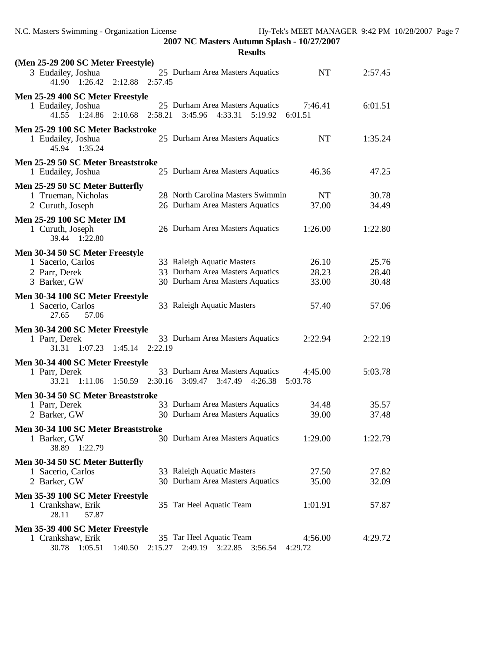**2007 NC Masters Autumn Splash - 10/27/2007 Results**

| (Men 25-29 200 SC Meter Freestyle)<br>25 Durham Area Masters Aquatics<br>3 Eudailey, Joshua<br>41.90 1:26.42<br>2:12.88<br>2:57.45                                                        | <b>NT</b>               | 2:57.45                 |
|-------------------------------------------------------------------------------------------------------------------------------------------------------------------------------------------|-------------------------|-------------------------|
| Men 25-29 400 SC Meter Freestyle<br>25 Durham Area Masters Aquatics<br>1 Eudailey, Joshua<br>2:58.21<br>3:45.96 4:33.31 5:19.92<br>41.55 1:24.86<br>2:10.68                               | 7:46.41<br>6:01.51      | 6:01.51                 |
| Men 25-29 100 SC Meter Backstroke<br>25 Durham Area Masters Aquatics<br>1 Eudailey, Joshua<br>1:35.24<br>45.94                                                                            | <b>NT</b>               | 1:35.24                 |
| Men 25-29 50 SC Meter Breaststroke<br>25 Durham Area Masters Aquatics<br>1 Eudailey, Joshua                                                                                               | 46.36                   | 47.25                   |
| Men 25-29 50 SC Meter Butterfly<br>28 North Carolina Masters Swimmin<br>1 Trueman, Nicholas<br>26 Durham Area Masters Aquatics<br>2 Curuth, Joseph                                        | NT<br>37.00             | 30.78<br>34.49          |
| <b>Men 25-29 100 SC Meter IM</b><br>26 Durham Area Masters Aquatics<br>1 Curuth, Joseph<br>39.44<br>1:22.80                                                                               | 1:26.00                 | 1:22.80                 |
| Men 30-34 50 SC Meter Freestyle<br>33 Raleigh Aquatic Masters<br>1 Sacerio, Carlos<br>33 Durham Area Masters Aquatics<br>2 Parr, Derek<br>30 Durham Area Masters Aquatics<br>3 Barker, GW | 26.10<br>28.23<br>33.00 | 25.76<br>28.40<br>30.48 |
| Men 30-34 100 SC Meter Freestyle<br>33 Raleigh Aquatic Masters<br>1 Sacerio, Carlos<br>57.06<br>27.65                                                                                     | 57.40                   | 57.06                   |
| Men 30-34 200 SC Meter Freestyle<br>33 Durham Area Masters Aquatics<br>1 Parr, Derek<br>31.31 1:07.23<br>2:22.19<br>1:45.14                                                               | 2:22.94                 | 2:22.19                 |
| Men 30-34 400 SC Meter Freestyle<br>33 Durham Area Masters Aquatics<br>1 Parr, Derek<br>2:30.16<br>3:09.47<br>3:47.49 4:26.38<br>33.21<br>1:11.06 1:50.59                                 | 4:45.00<br>5:03.78      | 5:03.78                 |
| Men 30-34 50 SC Meter Breaststroke<br>33 Durham Area Masters Aquatics<br>1 Parr, Derek<br>30 Durham Area Masters Aquatics<br>2 Barker, GW                                                 | 34.48<br>39.00          | 35.57<br>37.48          |
| Men 30-34 100 SC Meter Breaststroke<br>30 Durham Area Masters Aquatics<br>1 Barker, GW<br>38.89 1:22.79                                                                                   | 1:29.00                 | 1:22.79                 |
| Men 30-34 50 SC Meter Butterfly<br>33 Raleigh Aquatic Masters<br>1 Sacerio, Carlos<br>30 Durham Area Masters Aquatics<br>2 Barker, GW                                                     | 27.50<br>35.00          | 27.82<br>32.09          |
| Men 35-39 100 SC Meter Freestyle<br>35 Tar Heel Aquatic Team<br>1 Crankshaw, Erik<br>28.11<br>57.87                                                                                       | 1:01.91                 | 57.87                   |
| Men 35-39 400 SC Meter Freestyle<br>35 Tar Heel Aquatic Team<br>1 Crankshaw, Erik<br>30.78  1:05.51  1:40.50<br>2:15.27 2:49.19 3:22.85 3:56.54 4:29.72                                   | 4:56.00                 | 4:29.72                 |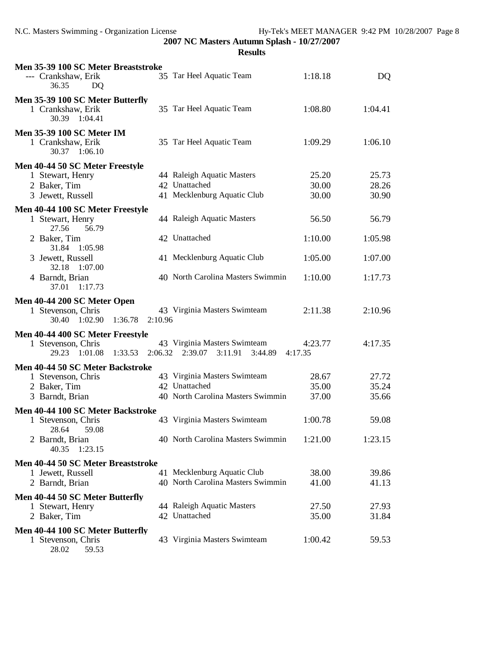**Results**

| Men 35-39 100 SC Meter Breaststroke<br>--- Crankshaw, Erik<br>36.35<br>DQ                 |         | 35 Tar Heel Aquatic Team                                                           | 1:18.18                 | DQ                      |
|-------------------------------------------------------------------------------------------|---------|------------------------------------------------------------------------------------|-------------------------|-------------------------|
| Men 35-39 100 SC Meter Butterfly<br>1 Crankshaw, Erik<br>30.39 1:04.41                    |         | 35 Tar Heel Aquatic Team                                                           | 1:08.80                 | 1:04.41                 |
| <b>Men 35-39 100 SC Meter IM</b><br>1 Crankshaw, Erik<br>30.37 1:06.10                    |         | 35 Tar Heel Aquatic Team                                                           | 1:09.29                 | 1:06.10                 |
| Men 40-44 50 SC Meter Freestyle<br>1 Stewart, Henry<br>2 Baker, Tim<br>3 Jewett, Russell  |         | 44 Raleigh Aquatic Masters<br>42 Unattached<br>41 Mecklenburg Aquatic Club         | 25.20<br>30.00<br>30.00 | 25.73<br>28.26<br>30.90 |
| Men 40-44 100 SC Meter Freestyle<br>1 Stewart, Henry<br>56.79<br>27.56                    |         | 44 Raleigh Aquatic Masters                                                         | 56.50                   | 56.79                   |
| 2 Baker, Tim                                                                              |         | 42 Unattached                                                                      | 1:10.00                 | 1:05.98                 |
| 31.84<br>1:05.98<br>3 Jewett, Russell<br>32.18<br>1:07.00                                 |         | 41 Mecklenburg Aquatic Club                                                        | 1:05.00                 | 1:07.00                 |
| 4 Barndt, Brian<br>37.01<br>1:17.73                                                       |         | 40 North Carolina Masters Swimmin                                                  | 1:10.00                 | 1:17.73                 |
| Men 40-44 200 SC Meter Open<br>1 Stevenson, Chris<br>30.40 1:02.90<br>1:36.78             | 2:10.96 | 43 Virginia Masters Swimteam                                                       | 2:11.38                 | 2:10.96                 |
| Men 40-44 400 SC Meter Freestyle<br>1 Stevenson, Chris<br>29.23<br>1:01.08<br>1:33.53     |         | 43 Virginia Masters Swimteam<br>2:06.32 2:39.07<br>3:11.91<br>3:44.89              | 4:23.77<br>4:17.35      | 4:17.35                 |
| Men 40-44 50 SC Meter Backstroke<br>1 Stevenson, Chris<br>2 Baker, Tim<br>3 Barndt, Brian |         | 43 Virginia Masters Swimteam<br>42 Unattached<br>40 North Carolina Masters Swimmin | 28.67<br>35.00<br>37.00 | 27.72<br>35.24<br>35.66 |
| Men 40-44 100 SC Meter Backstroke                                                         |         | 43 Virginia Masters Swimteam                                                       | 1:00.78                 | 59.08                   |
| 1 Stevenson, Chris<br>59.08<br>28.64<br>2 Barndt, Brian<br>1:23.15<br>40.35               |         | 40 North Carolina Masters Swimmin                                                  | 1:21.00                 | 1:23.15                 |
| Men 40-44 50 SC Meter Breaststroke<br>1 Jewett, Russell<br>2 Barndt, Brian                |         | 41 Mecklenburg Aquatic Club<br>40 North Carolina Masters Swimmin                   | 38.00<br>41.00          | 39.86<br>41.13          |
| Men 40-44 50 SC Meter Butterfly<br>1 Stewart, Henry<br>2 Baker, Tim                       |         | 44 Raleigh Aquatic Masters<br>42 Unattached                                        | 27.50<br>35.00          | 27.93<br>31.84          |
| Men 40-44 100 SC Meter Butterfly<br>1 Stevenson, Chris                                    |         | 43 Virginia Masters Swimteam                                                       | 1:00.42                 | 59.53                   |

28.02 59.53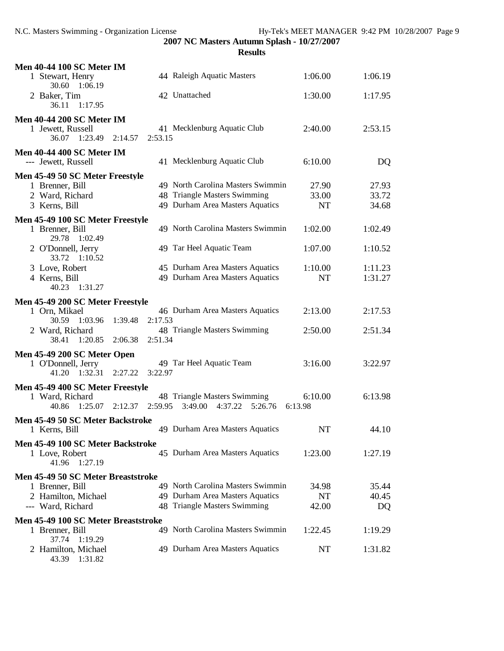| <b>Men 40-44 100 SC Meter IM</b>                  |                                                                           |                    |         |
|---------------------------------------------------|---------------------------------------------------------------------------|--------------------|---------|
| 1 Stewart, Henry<br>30.60<br>1:06.19              | 44 Raleigh Aquatic Masters                                                | 1:06.00            | 1:06.19 |
| 2 Baker, Tim<br>1:17.95<br>36.11                  | 42 Unattached                                                             | 1:30.00            | 1:17.95 |
| <b>Men 40-44 200 SC Meter IM</b>                  |                                                                           |                    |         |
| 1 Jewett, Russell<br>36.07 1:23.49<br>2:14.57     | 41 Mecklenburg Aquatic Club<br>2:53.15                                    | 2:40.00            | 2:53.15 |
| <b>Men 40-44 400 SC Meter IM</b>                  |                                                                           |                    |         |
| --- Jewett, Russell                               | 41 Mecklenburg Aquatic Club                                               | 6:10.00            | DQ      |
| Men 45-49 50 SC Meter Freestyle                   |                                                                           |                    |         |
| 1 Brenner, Bill                                   | 49 North Carolina Masters Swimmin                                         | 27.90              | 27.93   |
| 2 Ward, Richard                                   | 48 Triangle Masters Swimming                                              | 33.00              | 33.72   |
| 3 Kerns, Bill                                     | 49 Durham Area Masters Aquatics                                           | <b>NT</b>          | 34.68   |
| Men 45-49 100 SC Meter Freestyle                  |                                                                           |                    |         |
| 1 Brenner, Bill<br>29.78 1:02.49                  | 49 North Carolina Masters Swimmin                                         | 1:02.00            | 1:02.49 |
| 2 O'Donnell, Jerry<br>33.72 1:10.52               | 49 Tar Heel Aquatic Team                                                  | 1:07.00            | 1:10.52 |
| 3 Love, Robert                                    | 45 Durham Area Masters Aquatics                                           | 1:10.00            | 1:11.23 |
| 4 Kerns, Bill<br>40.23 1:31.27                    | 49 Durham Area Masters Aquatics                                           | <b>NT</b>          | 1:31.27 |
| Men 45-49 200 SC Meter Freestyle                  |                                                                           |                    |         |
| 1 Orn, Mikael<br>1:39.48<br>30.59<br>1:03.96      | 46 Durham Area Masters Aquatics<br>2:17.53                                | 2:13.00            | 2:17.53 |
| 2 Ward, Richard<br>1:20.85<br>38.41<br>2:06.38    | 48 Triangle Masters Swimming<br>2:51.34                                   | 2:50.00            | 2:51.34 |
| Men 45-49 200 SC Meter Open                       |                                                                           |                    |         |
| 1 O'Donnell, Jerry<br>1:32.31<br>41.20<br>2:27.22 | 49 Tar Heel Aquatic Team<br>3:22.97                                       | 3:16.00            | 3:22.97 |
| Men 45-49 400 SC Meter Freestyle                  |                                                                           |                    |         |
| 1 Ward, Richard<br>40.86<br>1:25.07<br>2:12.37    | 48 Triangle Masters Swimming<br>3:49.00<br>$4:37.22$ $5:26.76$<br>2:59.95 | 6:10.00<br>6:13.98 | 6:13.98 |
| Men 45-49 50 SC Meter Backstroke                  |                                                                           |                    |         |
| 1 Kerns, Bill                                     | 49 Durham Area Masters Aquatics                                           | NT                 | 44.10   |
| Men 45-49 100 SC Meter Backstroke                 |                                                                           |                    |         |
| 1 Love, Robert<br>41.96<br>1:27.19                | 45 Durham Area Masters Aquatics                                           | 1:23.00            | 1:27.19 |
| Men 45-49 50 SC Meter Breaststroke                |                                                                           |                    |         |
| 1 Brenner, Bill                                   | 49 North Carolina Masters Swimmin                                         | 34.98              | 35.44   |
| 2 Hamilton, Michael                               | 49 Durham Area Masters Aquatics                                           | <b>NT</b>          | 40.45   |
| --- Ward, Richard                                 | 48 Triangle Masters Swimming                                              | 42.00              | DQ      |
| Men 45-49 100 SC Meter Breaststroke               |                                                                           |                    |         |
| 1 Brenner, Bill<br>37.74<br>1:19.29               | 49 North Carolina Masters Swimmin                                         | 1:22.45            | 1:19.29 |
| 2 Hamilton, Michael<br>43.39 1:31.82              | 49 Durham Area Masters Aquatics                                           | NT                 | 1:31.82 |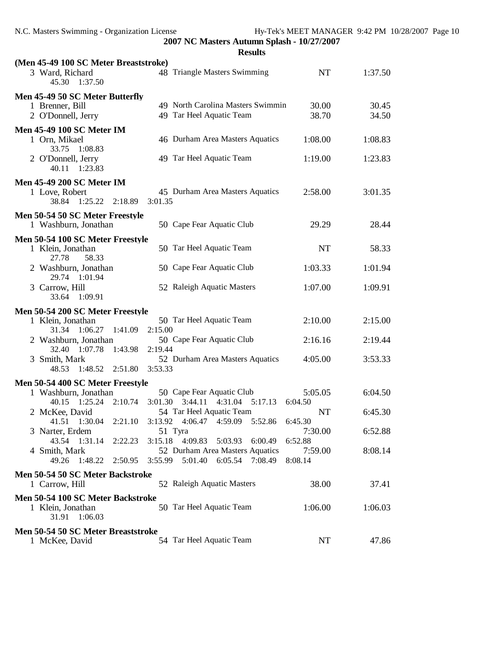| (Men 45-49 100 SC Meter Breaststroke)             |                                          |           |         |
|---------------------------------------------------|------------------------------------------|-----------|---------|
| 3 Ward, Richard<br>45.30<br>1:37.50               | 48 Triangle Masters Swimming             | <b>NT</b> | 1:37.50 |
| Men 45-49 50 SC Meter Butterfly                   |                                          |           |         |
| 1 Brenner, Bill                                   | 49 North Carolina Masters Swimmin        | 30.00     | 30.45   |
| 2 O'Donnell, Jerry                                | 49 Tar Heel Aquatic Team                 | 38.70     | 34.50   |
| <b>Men 45-49 100 SC Meter IM</b>                  |                                          |           |         |
| 1 Orn, Mikael                                     | 46 Durham Area Masters Aquatics          | 1:08.00   | 1:08.83 |
| 33.75 1:08.83                                     |                                          |           |         |
| 2 O'Donnell, Jerry                                | 49 Tar Heel Aquatic Team                 | 1:19.00   | 1:23.83 |
| 40.11<br>1:23.83                                  |                                          |           |         |
| <b>Men 45-49 200 SC Meter IM</b>                  |                                          |           |         |
| 1 Love, Robert                                    | 45 Durham Area Masters Aquatics          | 2:58.00   | 3:01.35 |
| 38.84 1:25.22<br>2:18.89                          | 3:01.35                                  |           |         |
| Men 50-54 50 SC Meter Freestyle                   |                                          |           |         |
| 1 Washburn, Jonathan                              | 50 Cape Fear Aquatic Club                | 29.29     | 28.44   |
| Men 50-54 100 SC Meter Freestyle                  |                                          |           |         |
| 1 Klein, Jonathan                                 | 50 Tar Heel Aquatic Team                 | <b>NT</b> | 58.33   |
| 27.78<br>58.33                                    |                                          |           |         |
| 2 Washburn, Jonathan                              | 50 Cape Fear Aquatic Club                | 1:03.33   | 1:01.94 |
| 29.74 1:01.94                                     |                                          |           |         |
| 3 Carrow, Hill                                    | 52 Raleigh Aquatic Masters               | 1:07.00   | 1:09.91 |
| 33.64<br>1:09.91                                  |                                          |           |         |
|                                                   |                                          |           |         |
|                                                   |                                          |           |         |
| Men 50-54 200 SC Meter Freestyle                  |                                          |           |         |
| 1 Klein, Jonathan<br>$1:06.27$ $1:41.09$<br>31.34 | 50 Tar Heel Aquatic Team<br>2:15.00      | 2:10.00   | 2:15.00 |
| 2 Washburn, Jonathan                              | 50 Cape Fear Aquatic Club                | 2:16.16   | 2:19.44 |
| 32.40<br>1:07.78<br>1:43.98                       | 2:19.44                                  |           |         |
| 3 Smith, Mark                                     | 52 Durham Area Masters Aquatics          | 4:05.00   | 3:53.33 |
| 48.53<br>1:48.52<br>2:51.80                       | 3:53.33                                  |           |         |
| Men 50-54 400 SC Meter Freestyle                  |                                          |           |         |
| 1 Washburn, Jonathan                              | 50 Cape Fear Aquatic Club                | 5:05.05   | 6:04.50 |
| 2:10.74<br>40.15<br>1:25.24                       | 3:01.30<br>3:44.11<br>4:31.04<br>5:17.13 | 6:04.50   |         |
| 2 McKee, David                                    | 54 Tar Heel Aquatic Team                 | <b>NT</b> | 6:45.30 |
| 1:30.04<br>2:21.10<br>41.51                       | 3:13.92<br>4:59.09<br>5:52.86<br>4:06.47 | 6:45.30   |         |
| 3 Narter, Erdem                                   | 51 Tyra                                  | 7:30.00   | 6:52.88 |
| 43.54 1:31.14<br>2:22.23                          | 3:15.18<br>4:09.83<br>5:03.93<br>6:00.49 | 6:52.88   |         |
| 4 Smith, Mark                                     | 52 Durham Area Masters Aquatics          | 7:59.00   | 8:08.14 |
| 49.26<br>1:48.22<br>2:50.95                       | 3:55.99<br>5:01.40 6:05.54<br>7:08.49    | 8:08.14   |         |
| Men 50-54 50 SC Meter Backstroke                  |                                          |           |         |
| 1 Carrow, Hill                                    | 52 Raleigh Aquatic Masters               | 38.00     | 37.41   |
| Men 50-54 100 SC Meter Backstroke                 |                                          |           |         |
| 1 Klein, Jonathan                                 | 50 Tar Heel Aquatic Team                 | 1:06.00   | 1:06.03 |
| 31.91<br>1:06.03                                  |                                          |           |         |
| Men 50-54 50 SC Meter Breaststroke                | 54 Tar Heel Aquatic Team                 | NT        | 47.86   |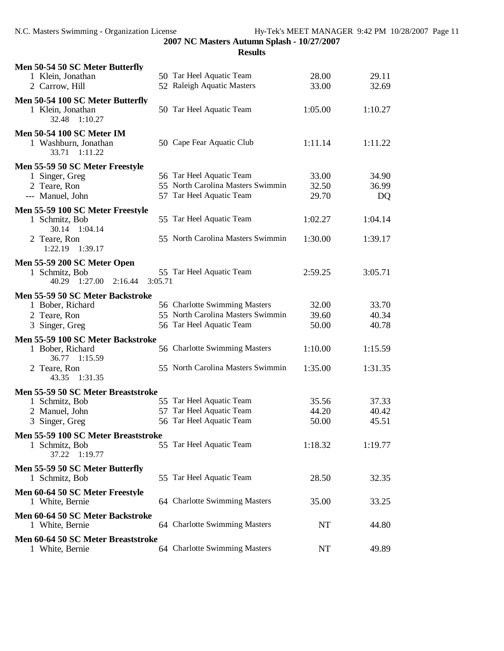| Men 50-54 50 SC Meter Butterfly<br>1 Klein, Jonathan<br>2 Carrow, Hill                |         | 50 Tar Heel Aquatic Team<br>52 Raleigh Aquatic Masters                                    | 28.00<br>33.00          | 29.11<br>32.69       |
|---------------------------------------------------------------------------------------|---------|-------------------------------------------------------------------------------------------|-------------------------|----------------------|
|                                                                                       |         |                                                                                           |                         |                      |
| Men 50-54 100 SC Meter Butterfly<br>1 Klein, Jonathan<br>32.48<br>1:10.27             |         | 50 Tar Heel Aquatic Team                                                                  | 1:05.00                 | 1:10.27              |
| <b>Men 50-54 100 SC Meter IM</b><br>1 Washburn, Jonathan<br>33.71<br>1:11.22          |         | 50 Cape Fear Aquatic Club                                                                 | 1:11.14                 | 1:11.22              |
| Men 55-59 50 SC Meter Freestyle<br>1 Singer, Greg<br>2 Teare, Ron<br>--- Manuel, John |         | 56 Tar Heel Aquatic Team<br>55 North Carolina Masters Swimmin<br>57 Tar Heel Aquatic Team | 33.00<br>32.50<br>29.70 | 34.90<br>36.99<br>DQ |
| Men 55-59 100 SC Meter Freestyle                                                      |         |                                                                                           |                         |                      |
| 1 Schmitz, Bob<br>30.14 1:04.14                                                       |         | 55 Tar Heel Aquatic Team                                                                  | 1:02.27                 | 1:04.14              |
| 2 Teare, Ron<br>1:22.19<br>1:39.17                                                    |         | 55 North Carolina Masters Swimmin                                                         | 1:30.00                 | 1:39.17              |
| Men 55-59 200 SC Meter Open                                                           |         |                                                                                           |                         |                      |
| 1 Schmitz, Bob<br>1:27.00<br>40.29<br>2:16.44                                         | 3:05.71 | 55 Tar Heel Aquatic Team                                                                  | 2:59.25                 | 3:05.71              |
| Men 55-59 50 SC Meter Backstroke                                                      |         |                                                                                           |                         |                      |
| 1 Bober, Richard                                                                      |         | 56 Charlotte Swimming Masters                                                             | 32.00                   | 33.70                |
| 2 Teare, Ron                                                                          |         | 55 North Carolina Masters Swimmin                                                         | 39.60                   | 40.34                |
| 3 Singer, Greg                                                                        |         | 56 Tar Heel Aquatic Team                                                                  | 50.00                   | 40.78                |
| Men 55-59 100 SC Meter Backstroke                                                     |         |                                                                                           |                         |                      |
| 1 Bober, Richard<br>36.77<br>1:15.59                                                  |         | 56 Charlotte Swimming Masters                                                             | 1:10.00                 | 1:15.59              |
| 2 Teare, Ron<br>1:31.35<br>43.35                                                      |         | 55 North Carolina Masters Swimmin                                                         | 1:35.00                 | 1:31.35              |
| Men 55-59 50 SC Meter Breaststroke                                                    |         |                                                                                           |                         |                      |
| 1 Schmitz, Bob                                                                        |         | 55 Tar Heel Aquatic Team                                                                  | 35.56                   | 37.33                |
| 2 Manuel, John                                                                        |         | 57 Tar Heel Aquatic Team                                                                  | 44.20                   | 40.42                |
| 3 Singer, Greg                                                                        |         | 56 Tar Heel Aquatic Team                                                                  | 50.00                   | 45.51                |
| Men 55-59 100 SC Meter Breaststroke                                                   |         |                                                                                           |                         |                      |
| 1 Schmitz, Bob<br>37.22<br>1:19.77                                                    |         | 55 Tar Heel Aquatic Team                                                                  | 1:18.32                 | 1:19.77              |
| Men 55-59 50 SC Meter Butterfly<br>1 Schmitz, Bob                                     |         | 55 Tar Heel Aquatic Team                                                                  | 28.50                   | 32.35                |
|                                                                                       |         |                                                                                           |                         |                      |
| Men 60-64 50 SC Meter Freestyle<br>1 White, Bernie                                    |         | 64 Charlotte Swimming Masters                                                             | 35.00                   | 33.25                |
| Men 60-64 50 SC Meter Backstroke<br>1 White, Bernie                                   |         | 64 Charlotte Swimming Masters                                                             | NT                      | 44.80                |
| Men 60-64 50 SC Meter Breaststroke<br>1 White, Bernie                                 |         | 64 Charlotte Swimming Masters                                                             | NT                      | 49.89                |
|                                                                                       |         |                                                                                           |                         |                      |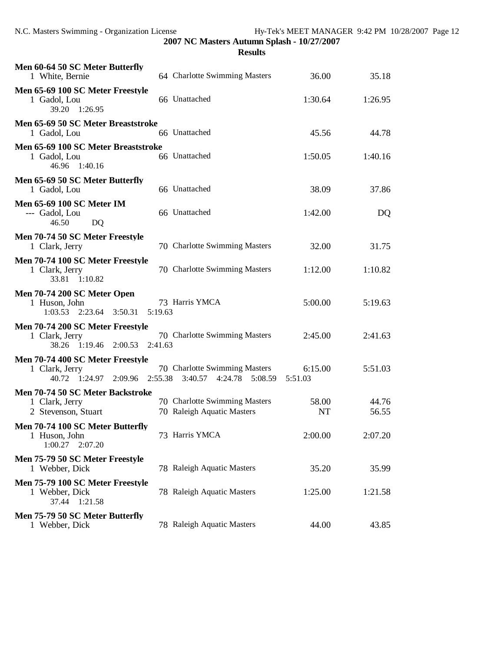| Men 60-64 50 SC Meter Butterfly<br>1 White, Bernie                             |         | 64 Charlotte Swimming Masters                               | 36.00              | 35.18          |
|--------------------------------------------------------------------------------|---------|-------------------------------------------------------------|--------------------|----------------|
| Men 65-69 100 SC Meter Freestyle<br>1 Gadol, Lou<br>39.20 1:26.95              |         | 66 Unattached                                               | 1:30.64            | 1:26.95        |
| Men 65-69 50 SC Meter Breaststroke<br>1 Gadol, Lou                             |         | 66 Unattached                                               | 45.56              | 44.78          |
| Men 65-69 100 SC Meter Breaststroke<br>1 Gadol, Lou<br>46.96 1:40.16           |         | 66 Unattached                                               | 1:50.05            | 1:40.16        |
| Men 65-69 50 SC Meter Butterfly<br>1 Gadol, Lou                                |         | 66 Unattached                                               | 38.09              | 37.86          |
| <b>Men 65-69 100 SC Meter IM</b><br>--- Gadol, Lou<br>46.50<br><b>DQ</b>       |         | 66 Unattached                                               | 1:42.00            | DQ             |
| Men 70-74 50 SC Meter Freestyle<br>1 Clark, Jerry                              |         | 70 Charlotte Swimming Masters                               | 32.00              | 31.75          |
| Men 70-74 100 SC Meter Freestyle<br>1 Clark, Jerry<br>33.81 1:10.82            |         | 70 Charlotte Swimming Masters                               | 1:12.00            | 1:10.82        |
| Men 70-74 200 SC Meter Open<br>1 Huson, John<br>1:03.53 2:23.64 3:50.31        | 5:19.63 | 73 Harris YMCA                                              | 5:00.00            | 5:19.63        |
| Men 70-74 200 SC Meter Freestyle<br>1 Clark, Jerry<br>38.26 1:19.46<br>2:00.53 | 2:41.63 | 70 Charlotte Swimming Masters                               | 2:45.00            | 2:41.63        |
| Men 70-74 400 SC Meter Freestyle<br>1 Clark, Jerry<br>1:24.97 2:09.96<br>40.72 | 2:55.38 | 70 Charlotte Swimming Masters<br>3:40.57<br>4:24.78 5:08.59 | 6:15.00<br>5:51.03 | 5:51.03        |
| Men 70-74 50 SC Meter Backstroke<br>1 Clark, Jerry<br>2 Stevenson, Stuart      |         | 70 Charlotte Swimming Masters<br>70 Raleigh Aquatic Masters | 58.00<br><b>NT</b> | 44.76<br>56.55 |
| Men 70-74 100 SC Meter Butterfly<br>1 Huson, John<br>1:00.27<br>2:07.20        |         | 73 Harris YMCA                                              | 2:00.00            | 2:07.20        |
| Men 75-79 50 SC Meter Freestyle<br>1 Webber, Dick                              |         | 78 Raleigh Aquatic Masters                                  | 35.20              | 35.99          |
| Men 75-79 100 SC Meter Freestyle<br>1 Webber, Dick<br>37.44 1:21.58            |         | 78 Raleigh Aquatic Masters                                  | 1:25.00            | 1:21.58        |
| Men 75-79 50 SC Meter Butterfly<br>1 Webber, Dick                              |         | 78 Raleigh Aquatic Masters                                  | 44.00              | 43.85          |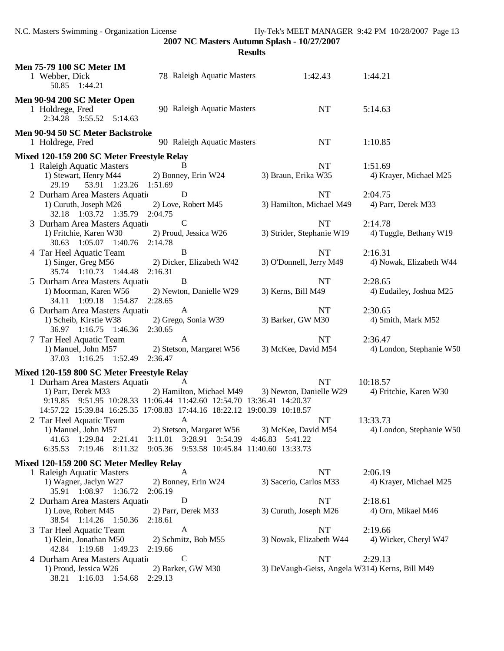N.C. Masters Swimming - Organization License Hy-Tek's MEET MANAGER 9:42 PM 10/28/2007 Page 13

**2007 NC Masters Autumn Splash - 10/27/2007**

| <b>Men 75-79 100 SC Meter IM</b><br>78 Raleigh Aquatic Masters<br>1 Webber, Dick<br>50.85 1:44.21                                                                                                                                                                                                                                                                                                          | 1:42.43                                                                                                | 1:44.21                                                                    |
|------------------------------------------------------------------------------------------------------------------------------------------------------------------------------------------------------------------------------------------------------------------------------------------------------------------------------------------------------------------------------------------------------------|--------------------------------------------------------------------------------------------------------|----------------------------------------------------------------------------|
| Men 90-94 200 SC Meter Open<br>90 Raleigh Aquatic Masters<br>1 Holdrege, Fred<br>2:34.28 3:55.52 5:14.63                                                                                                                                                                                                                                                                                                   | <b>NT</b>                                                                                              | 5:14.63                                                                    |
| Men 90-94 50 SC Meter Backstroke<br>90 Raleigh Aquatic Masters<br>1 Holdrege, Fred                                                                                                                                                                                                                                                                                                                         | <b>NT</b>                                                                                              | 1:10.85                                                                    |
| Mixed 120-159 200 SC Meter Freestyle Relay<br>1 Raleigh Aquatic Masters<br>1) Stewart, Henry M44<br>2) Bonney, Erin W24<br>29.19<br>53.91 1:23.26 1:51.69                                                                                                                                                                                                                                                  | NT<br>3) Braun, Erika W35                                                                              | 1:51.69<br>4) Krayer, Michael M25                                          |
| 2 Durham Area Masters Aquatic<br>D<br>1) Curuth, Joseph M26<br>2) Love, Robert M45<br>32.18 1:03.72 1:35.79 2:04.75                                                                                                                                                                                                                                                                                        | <b>NT</b><br>3) Hamilton, Michael M49                                                                  | 2:04.75<br>4) Parr, Derek M33                                              |
| $\mathcal{C}$<br>3 Durham Area Masters Aquatic<br>1) Fritchie, Karen W30<br>2) Proud, Jessica W26<br>30.63 1:05.07 1:40.76 2:14.78                                                                                                                                                                                                                                                                         | <b>NT</b><br>3) Strider, Stephanie W19                                                                 | 2:14.78<br>4) Tuggle, Bethany W19                                          |
| $\mathbf B$<br>4 Tar Heel Aquatic Team<br>1) Singer, Greg M56<br>2) Dicker, Elizabeth W42<br>35.74 1:10.73 1:44.48 2:16.31                                                                                                                                                                                                                                                                                 | <b>NT</b><br>3) O'Donnell, Jerry M49                                                                   | 2:16.31<br>4) Nowak, Elizabeth W44                                         |
| B<br>5 Durham Area Masters Aquatic<br>1) Moorman, Karen W56<br>2) Newton, Danielle W29<br>34.11  1:09.18  1:54.87  2:28.65                                                                                                                                                                                                                                                                                 | <b>NT</b><br>3) Kerns, Bill M49                                                                        | 2:28.65<br>4) Eudailey, Joshua M25                                         |
| 6 Durham Area Masters Aquatic<br>A<br>2) Grego, Sonia W39<br>1) Scheib, Kirstie W38<br>36.97 1:16.75 1:46.36 2:30.65                                                                                                                                                                                                                                                                                       | NT<br>3) Barker, GW M30                                                                                | 2:30.65<br>4) Smith, Mark M52                                              |
| 7 Tar Heel Aquatic Team<br>A<br>1) Manuel, John M57 2) Stetson, Margaret W56<br>37.03 1:16.25 1:52.49 2:36.47                                                                                                                                                                                                                                                                                              | <b>NT</b><br>3) McKee, David M54                                                                       | 2:36.47<br>4) London, Stephanie W50                                        |
| Mixed 120-159 800 SC Meter Freestyle Relay<br>1 Durham Area Masters Aquatic<br>1) Parr, Derek M33<br>9:19.85  9:51.95  10:28.33  11:06.44  11:42.60  12:54.70  13:36.41  14:20.37<br>14:57.22 15:39.84 16:25.35 17:08.83 17:44.16 18:22.12 19:00.39 10:18.57<br>2 Tar Heel Aquatic Team<br>A<br>1) Manuel, John M57 2) Stetson, Margaret W56 3) McKee, David M54<br>1:29.84<br>3:11.01<br>41.63<br>2:21.41 | <b>NT</b><br>2) Hamilton, Michael M49 3) Newton, Danielle W29<br>NT<br>3:28.91 3:54.39 4:46.83 5:41.22 | 10:18.57<br>4) Fritchie, Karen W30<br>13:33.73<br>4) London, Stephanie W50 |
| 6:35.53<br>7:19.46<br>8:11.32<br>Mixed 120-159 200 SC Meter Medley Relay                                                                                                                                                                                                                                                                                                                                   | 9:05.36  9:53.58  10:45.84  11:40.60  13:33.73                                                         |                                                                            |
| 1 Raleigh Aquatic Masters<br>A<br>1) Wagner, Jaclyn W27<br>2) Bonney, Erin W24<br>35.91 1:08.97 1:36.72<br>2:06.19                                                                                                                                                                                                                                                                                         | <b>NT</b><br>3) Sacerio, Carlos M33                                                                    | 2:06.19<br>4) Krayer, Michael M25                                          |
| D<br>2 Durham Area Masters Aquation<br>1) Love, Robert M45<br>2) Parr, Derek M33<br>38.54 1:14.26 1:50.36<br>2:18.61                                                                                                                                                                                                                                                                                       | <b>NT</b><br>3) Curuth, Joseph M26                                                                     | 2:18.61<br>4) Orn, Mikael M46                                              |
| 3 Tar Heel Aquatic Team<br>A<br>1) Klein, Jonathan M50<br>2) Schmitz, Bob M55<br>42.84 1:19.68<br>1:49.23<br>2:19.66                                                                                                                                                                                                                                                                                       | <b>NT</b><br>3) Nowak, Elizabeth W44                                                                   | 2:19.66<br>4) Wicker, Cheryl W47                                           |
| $\mathbf C$<br>4 Durham Area Masters Aquatic<br>1) Proud, Jessica W26<br>2) Barker, GW M30<br>38.21 1:16.03 1:54.68<br>2:29.13                                                                                                                                                                                                                                                                             | <b>NT</b><br>3) DeVaugh-Geiss, Angela W314) Kerns, Bill M49                                            | 2:29.13                                                                    |